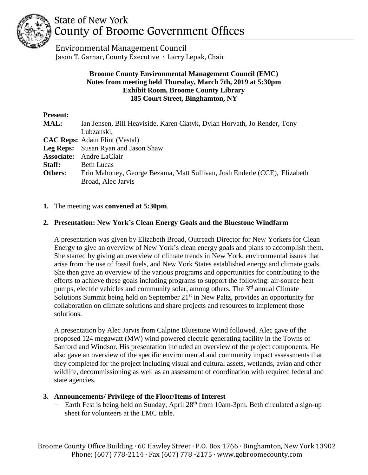

# State of New York County of Broome Government Offices

 Environmental Management Council Jason T. Garnar, County Executive ∙ Larry Lepak, Chair

## **Broome County Environmental Management Council (EMC) Notes from meeting held Thursday, March 7th, 2019 at 5:30pm Exhibit Room, Broome County Library 185 Court Street, Binghamton, NY**

| <b>Present:</b>   |                                                                           |
|-------------------|---------------------------------------------------------------------------|
| MAL:              | Ian Jensen, Bill Heaviside, Karen Ciatyk, Dylan Horvath, Jo Render, Tony  |
|                   | Lubzanski,                                                                |
|                   | <b>CAC Reps:</b> Adam Flint (Vestal)                                      |
| Leg Reps:         | Susan Ryan and Jason Shaw                                                 |
| <b>Associate:</b> | Andre LaClair                                                             |
| Staff:            | <b>Beth Lucas</b>                                                         |
| Others:           | Erin Mahoney, George Bezama, Matt Sullivan, Josh Enderle (CCE), Elizabeth |
|                   | Broad, Alec Jarvis                                                        |

**1.** The meeting was **convened at 5:30pm**.

## **2. Presentation: New York's Clean Energy Goals and the Bluestone Windfarm**

A presentation was given by Elizabeth Broad, Outreach Director for New Yorkers for Clean Energy to give an overview of New York's clean energy goals and plans to accomplish them. She started by giving an overview of climate trends in New York, environmental issues that arise from the use of fossil fuels, and New York States established energy and climate goals. She then gave an overview of the various programs and opportunities for contributing to the efforts to achieve these goals including programs to support the following: air-source heat pumps, electric vehicles and community solar, among others. The 3<sup>rd</sup> annual Climate Solutions Summit being held on September 21<sup>st</sup> in New Paltz, provides an opportunity for collaboration on climate solutions and share projects and resources to implement those solutions.

A presentation by Alec Jarvis from Calpine Bluestone Wind followed. Alec gave of the proposed 124 megawatt (MW) wind powered electric generating facility in the Towns of Sanford and Windsor. His presentation included an overview of the project components. He also gave an overview of the specific environmental and community impact assessments that they completed for the project including visual and cultural assets, wetlands, avian and other wildlife, decommissioning as well as an assessment of coordination with required federal and state agencies.

## **3. Announcements/ Privilege of the Floor/Items of Interest**

- Earth Fest is being held on Sunday, April 28<sup>th</sup> from 10am-3pm. Beth circulated a sign-up sheet for volunteers at the EMC table.

Broome County Office Building ∙ 60 Hawley Street ∙ P.O. Box 1766 ∙ Binghamton, New York 13902 Phone: (607) 778-2114 ∙ Fax (607) 778 -2175 ∙ www.gobroomecounty.com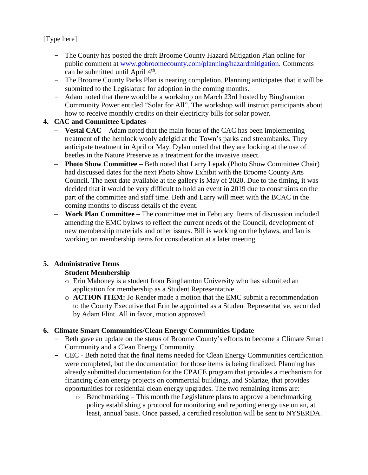[Type here]

- The County has posted the draft Broome County Hazard Mitigation Plan online for public comment at [www.gobroomecounty.com/planning/hazardmitigation.](http://www.gobroomecounty.com/planning/hazardmitigation) Comments can be submitted until April  $4<sup>th</sup>$ .
- The Broome County Parks Plan is nearing completion. Planning anticipates that it will be submitted to the Legislature for adoption in the coming months.
- Adam noted that there would be a workshop on March 23rd hosted by Binghamton Community Power entitled "Solar for All". The workshop will instruct participants about how to receive monthly credits on their electricity bills for solar power.

## **4. CAC and Committee Updates**

- − **Vestal CAC** Adam noted that the main focus of the CAC has been implementing treatment of the hemlock wooly adelgid at the Town's parks and streambanks. They anticipate treatment in April or May. Dylan noted that they are looking at the use of beetles in the Nature Preserve as a treatment for the invasive insect.
- **Photo Show Committee** Beth noted that Larry Lepak (Photo Show Committee Chair) had discussed dates for the next Photo Show Exhibit with the Broome County Arts Council. The next date available at the gallery is May of 2020. Due to the timing, it was decided that it would be very difficult to hold an event in 2019 due to constraints on the part of the committee and staff time. Beth and Larry will meet with the BCAC in the coming months to discuss details of the event.
- − **Work Plan Committee –** The committee met in February. Items of discussion included amending the EMC bylaws to reflect the current needs of the Council, development of new membership materials and other issues. Bill is working on the bylaws, and Ian is working on membership items for consideration at a later meeting.

## **5. Administrative Items**

## − **Student Membership**

- o Erin Mahoney is a student from Binghamton University who has submitted an application for membership as a Student Representative
- o **ACTION ITEM:** Jo Render made a motion that the EMC submit a recommendation to the County Executive that Erin be appointed as a Student Representative, seconded by Adam Flint. All in favor, motion approved.

## **6. Climate Smart Communities/Clean Energy Communities Update**

- Beth gave an update on the status of Broome County's efforts to become a Climate Smart Community and a Clean Energy Community.
- CEC Beth noted that the final items needed for Clean Energy Communities certification were completed, but the documentation for those items is being finalized. Planning has already submitted documentation for the CPACE program that provides a mechanism for financing clean energy projects on commercial buildings, and Solarize, that provides opportunities for residential clean energy upgrades. The two remaining items are:
	- $\circ$  Benchmarking This month the Legislature plans to approve a benchmarking policy establishing a protocol for monitoring and reporting energy use on an, at least, annual basis. Once passed, a certified resolution will be sent to NYSERDA.